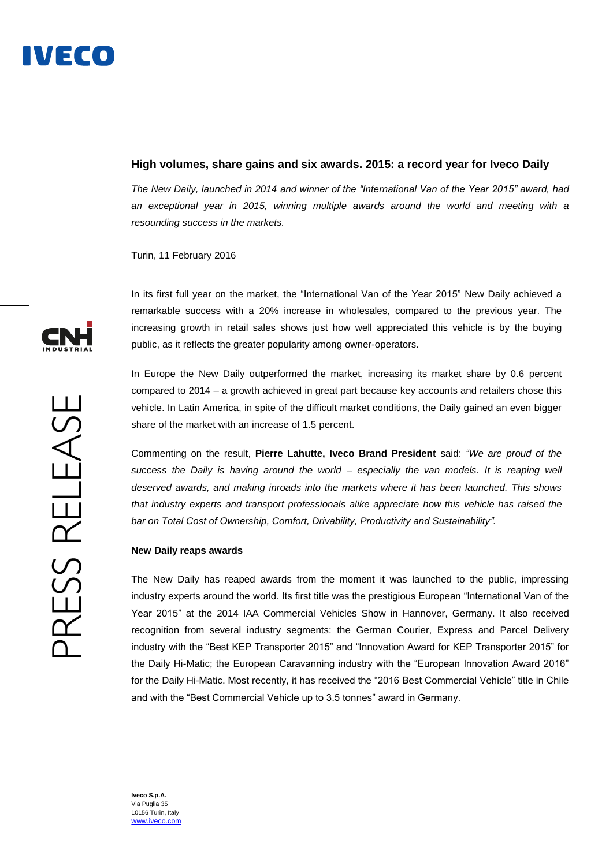### **High volumes, share gains and six awards. 2015: a record year for Iveco Daily**

*The New Daily, launched in 2014 and winner of the "International Van of the Year 2015" award, had an exceptional year in 2015, winning multiple awards around the world and meeting with a resounding success in the markets.*

Turin, 11 February 2016

In its first full year on the market, the "International Van of the Year 2015" New Daily achieved a remarkable success with a 20% increase in wholesales, compared to the previous year. The increasing growth in retail sales shows just how well appreciated this vehicle is by the buying public, as it reflects the greater popularity among owner-operators.

In Europe the New Daily outperformed the market, increasing its market share by 0.6 percent compared to 2014 – a growth achieved in great part because key accounts and retailers chose this vehicle. In Latin America, in spite of the difficult market conditions, the Daily gained an even bigger share of the market with an increase of 1.5 percent.

Commenting on the result, **Pierre Lahutte, Iveco Brand President** said: *"We are proud of the success the Daily is having around the world – especially the van models. It is reaping well deserved awards, and making inroads into the markets where it has been launched. This shows that industry experts and transport professionals alike appreciate how this vehicle has raised the bar on Total Cost of Ownership, Comfort, Drivability, Productivity and Sustainability".*

#### **New Daily reaps awards**

The New Daily has reaped awards from the moment it was launched to the public, impressing industry experts around the world. Its first title was the prestigious European "International Van of the Year 2015" at the 2014 IAA Commercial Vehicles Show in Hannover, Germany. It also received recognition from several industry segments: the German Courier, Express and Parcel Delivery industry with the "Best KEP Transporter 2015" and "Innovation Award for KEP Transporter 2015" for the Daily Hi-Matic; the European Caravanning industry with the "European Innovation Award 2016" for the Daily Hi-Matic. Most recently, it has received the "2016 Best Commercial Vehicle" title in Chile and with the "Best Commercial Vehicle up to 3.5 tonnes" award in Germany.



**Iveco S.p.A.** Via Puglia 35 10156 Turin, Italy [www.iveco.com](http://www.iveco.com/)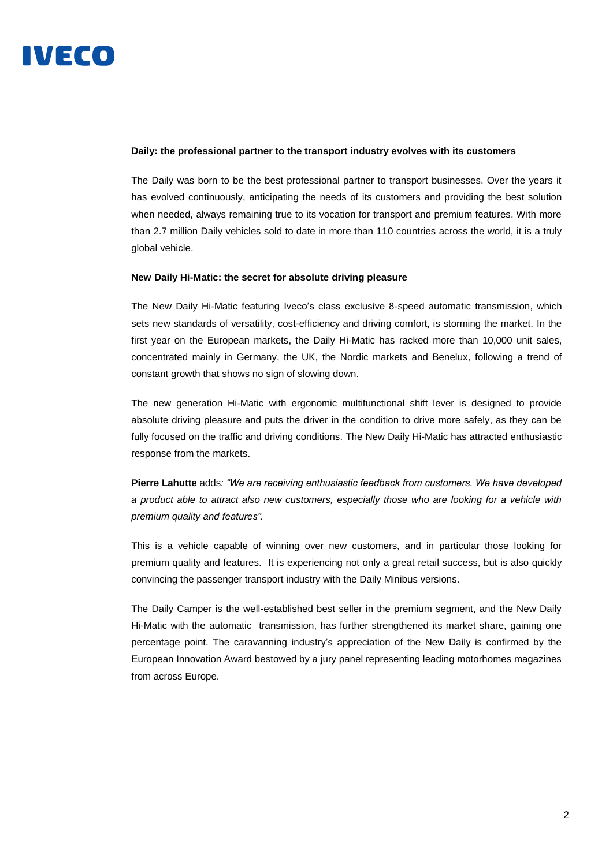#### **Daily: the professional partner to the transport industry evolves with its customers**

The Daily was born to be the best professional partner to transport businesses. Over the years it has evolved continuously, anticipating the needs of its customers and providing the best solution when needed, always remaining true to its vocation for transport and premium features. With more than 2.7 million Daily vehicles sold to date in more than 110 countries across the world, it is a truly global vehicle.

#### **New Daily Hi-Matic: the secret for absolute driving pleasure**

The New Daily Hi-Matic featuring Iveco's class exclusive 8-speed automatic transmission, which sets new standards of versatility, cost-efficiency and driving comfort, is storming the market. In the first year on the European markets, the Daily Hi-Matic has racked more than 10,000 unit sales, concentrated mainly in Germany, the UK, the Nordic markets and Benelux, following a trend of constant growth that shows no sign of slowing down.

The new generation Hi-Matic with ergonomic multifunctional shift lever is designed to provide absolute driving pleasure and puts the driver in the condition to drive more safely, as they can be fully focused on the traffic and driving conditions. The New Daily Hi-Matic has attracted enthusiastic response from the markets.

**Pierre Lahutte** adds*: "We are receiving enthusiastic feedback from customers. We have developed a product able to attract also new customers, especially those who are looking for a vehicle with premium quality and features".*

This is a vehicle capable of winning over new customers, and in particular those looking for premium quality and features. It is experiencing not only a great retail success, but is also quickly convincing the passenger transport industry with the Daily Minibus versions.

The Daily Camper is the well-established best seller in the premium segment, and the New Daily Hi-Matic with the automatic transmission, has further strengthened its market share, gaining one percentage point. The caravanning industry's appreciation of the New Daily is confirmed by the European Innovation Award bestowed by a jury panel representing leading motorhomes magazines from across Europe.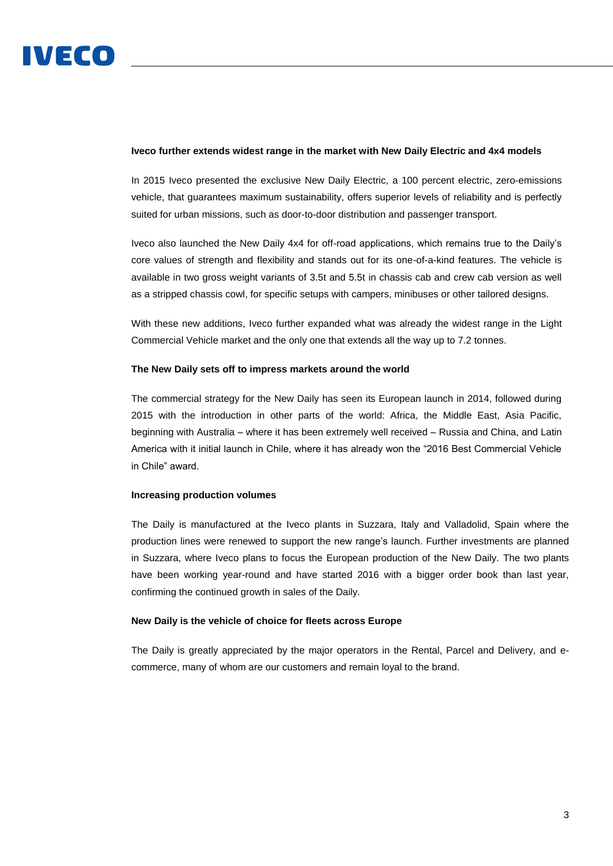#### **Iveco further extends widest range in the market with New Daily Electric and 4x4 models**

In 2015 Iveco presented the exclusive New Daily Electric, a 100 percent electric, zero-emissions vehicle, that guarantees maximum sustainability, offers superior levels of reliability and is perfectly suited for urban missions, such as door-to-door distribution and passenger transport.

Iveco also launched the New Daily 4x4 for off-road applications, which remains true to the Daily's core values of strength and flexibility and stands out for its one-of-a-kind features. The vehicle is available in two gross weight variants of 3.5t and 5.5t in chassis cab and crew cab version as well as a stripped chassis cowl, for specific setups with campers, minibuses or other tailored designs.

With these new additions, Iveco further expanded what was already the widest range in the Light Commercial Vehicle market and the only one that extends all the way up to 7.2 tonnes.

#### **The New Daily sets off to impress markets around the world**

The commercial strategy for the New Daily has seen its European launch in 2014, followed during 2015 with the introduction in other parts of the world: Africa, the Middle East, Asia Pacific, beginning with Australia – where it has been extremely well received – Russia and China, and Latin America with it initial launch in Chile, where it has already won the "2016 Best Commercial Vehicle in Chile" award.

#### **Increasing production volumes**

The Daily is manufactured at the Iveco plants in Suzzara, Italy and Valladolid, Spain where the production lines were renewed to support the new range's launch. Further investments are planned in Suzzara, where Iveco plans to focus the European production of the New Daily. The two plants have been working year-round and have started 2016 with a bigger order book than last year, confirming the continued growth in sales of the Daily.

#### **New Daily is the vehicle of choice for fleets across Europe**

The Daily is greatly appreciated by the major operators in the Rental, Parcel and Delivery, and ecommerce, many of whom are our customers and remain loyal to the brand.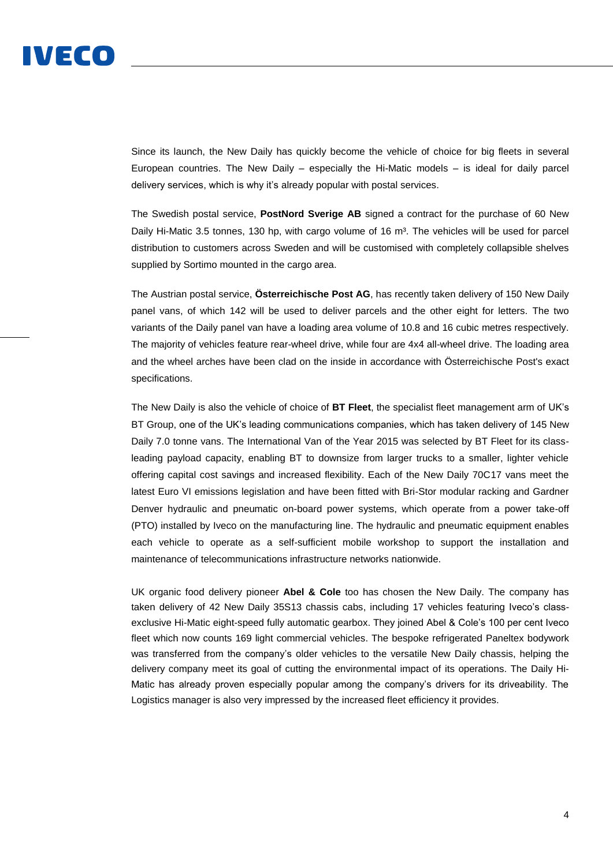

Since its launch, the New Daily has quickly become the vehicle of choice for big fleets in several European countries. The New Daily – especially the Hi-Matic models – is ideal for daily parcel delivery services, which is why it's already popular with postal services.

The Swedish postal service, **PostNord Sverige AB** signed a contract for the purchase of 60 New Daily Hi-Matic 3.5 tonnes, 130 hp, with cargo volume of 16 m<sup>3</sup>. The vehicles will be used for parcel distribution to customers across Sweden and will be customised with completely collapsible shelves supplied by Sortimo mounted in the cargo area.

The Austrian postal service, **Österreichische Post AG**, has recently taken delivery of 150 New Daily panel vans, of which 142 will be used to deliver parcels and the other eight for letters. The two variants of the Daily panel van have a loading area volume of 10.8 and 16 cubic metres respectively. The majority of vehicles feature rear-wheel drive, while four are 4x4 all-wheel drive. The loading area and the wheel arches have been clad on the inside in accordance with Österreichische Post's exact specifications.

The New Daily is also the vehicle of choice of **BT Fleet**, the specialist fleet management arm of UK's BT Group, one of the UK's leading communications companies, which has taken delivery of 145 New Daily 7.0 tonne vans. The International Van of the Year 2015 was selected by BT Fleet for its classleading payload capacity, enabling BT to downsize from larger trucks to a smaller, lighter vehicle offering capital cost savings and increased flexibility. Each of the New Daily 70C17 vans meet the latest Euro VI emissions legislation and have been fitted with Bri-Stor modular racking and Gardner Denver hydraulic and pneumatic on-board power systems, which operate from a power take-off (PTO) installed by Iveco on the manufacturing line. The hydraulic and pneumatic equipment enables each vehicle to operate as a self-sufficient mobile workshop to support the installation and maintenance of telecommunications infrastructure networks nationwide.

UK organic food delivery pioneer **Abel & Cole** too has chosen the New Daily. The company has taken delivery of 42 New Daily 35S13 chassis cabs, including 17 vehicles featuring Iveco's classexclusive Hi-Matic eight-speed fully automatic gearbox. They joined Abel & Cole's 100 per cent Iveco fleet which now counts 169 light commercial vehicles. The bespoke refrigerated Paneltex bodywork was transferred from the company's older vehicles to the versatile New Daily chassis, helping the delivery company meet its goal of cutting the environmental impact of its operations. The Daily Hi-Matic has already proven especially popular among the company's drivers for its driveability. The Logistics manager is also very impressed by the increased fleet efficiency it provides.